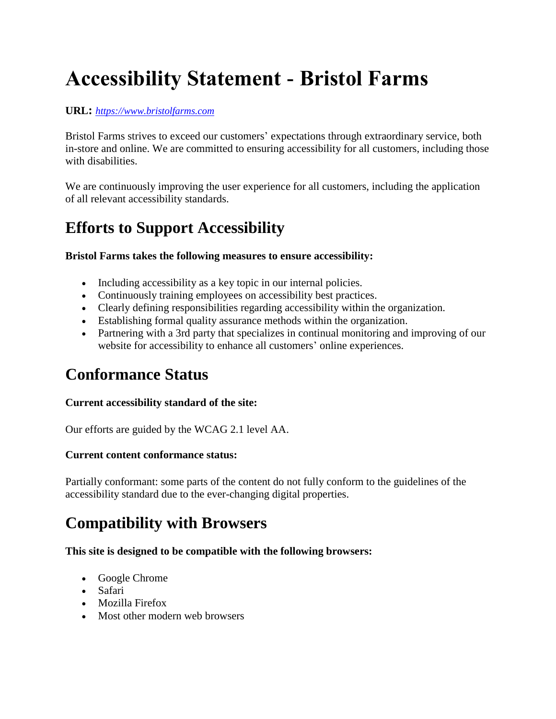# **Accessibility Statement - Bristol Farms**

#### **URL:** *[https://www.bristolfarms.com](https://www.bristolfarms.com/)*

Bristol Farms strives to exceed our customers' expectations through extraordinary service, both in-store and online. We are committed to ensuring accessibility for all customers, including those with disabilities.

We are continuously improving the user experience for all customers, including the application of all relevant accessibility standards.

### **Efforts to Support Accessibility**

#### **Bristol Farms takes the following measures to ensure accessibility:**

- Including accessibility as a key topic in our internal policies.
- Continuously training employees on accessibility best practices.
- Clearly defining responsibilities regarding accessibility within the organization.
- Establishing formal quality assurance methods within the organization.
- Partnering with a 3rd party that specializes in continual monitoring and improving of our website for accessibility to enhance all customers' online experiences.

### **Conformance Status**

#### **Current accessibility standard of the site:**

Our efforts are guided by the WCAG 2.1 level AA.

#### **Current content conformance status:**

Partially conformant: some parts of the content do not fully conform to the guidelines of the accessibility standard due to the ever-changing digital properties.

### **Compatibility with Browsers**

### **This site is designed to be compatible with the following browsers:**

- Google Chrome
- Safari
- Mozilla Firefox
- Most other modern web browsers